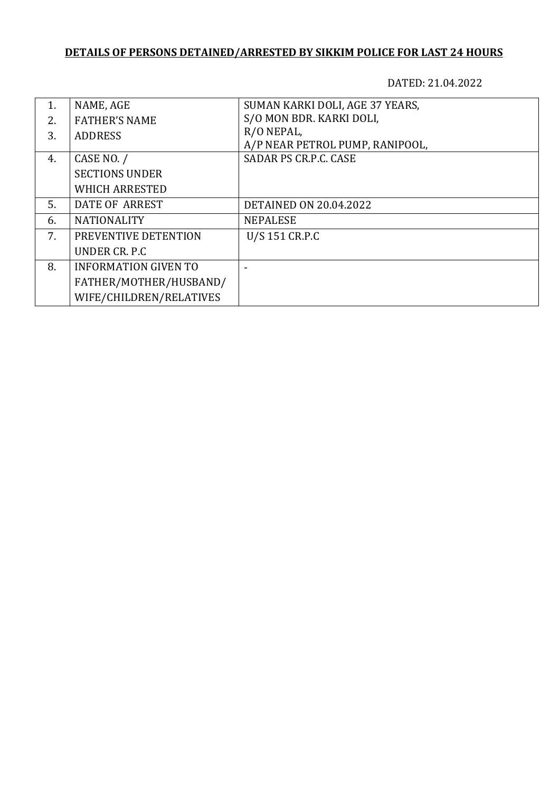## **DETAILS OF PERSONS DETAINED/ARRESTED BY SIKKIM POLICE FOR LAST 24 HOURS**

DATED: 21.04.2022

| 1. | NAME, AGE                   | SUMAN KARKI DOLI, AGE 37 YEARS, |
|----|-----------------------------|---------------------------------|
| 2. | <b>FATHER'S NAME</b>        | S/O MON BDR. KARKI DOLI,        |
| 3. | <b>ADDRESS</b>              | R/O NEPAL,                      |
|    |                             | A/P NEAR PETROL PUMP, RANIPOOL, |
| 4. | CASE NO. /                  | SADAR PS CR.P.C. CASE           |
|    | <b>SECTIONS UNDER</b>       |                                 |
|    | <b>WHICH ARRESTED</b>       |                                 |
| 5. | DATE OF ARREST              | <b>DETAINED ON 20.04.2022</b>   |
| 6. | <b>NATIONALITY</b>          | <b>NEPALESE</b>                 |
| 7. | PREVENTIVE DETENTION        | U/S 151 CR.P.C                  |
|    | UNDER CR. P.C.              |                                 |
| 8. | <b>INFORMATION GIVEN TO</b> |                                 |
|    | FATHER/MOTHER/HUSBAND/      |                                 |
|    | WIFE/CHILDREN/RELATIVES     |                                 |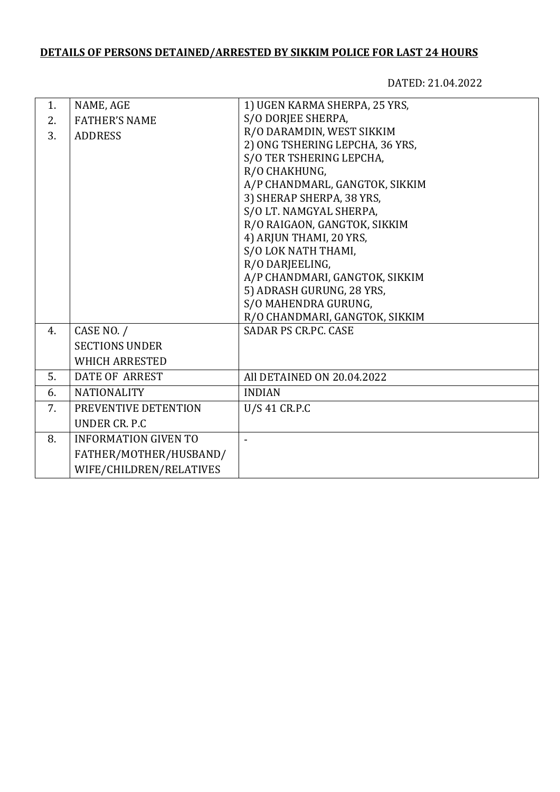## **DETAILS OF PERSONS DETAINED/ARRESTED BY SIKKIM POLICE FOR LAST 24 HOURS**

DATED: 21.04.2022

| 1. | NAME, AGE                   | 1) UGEN KARMA SHERPA, 25 YRS,   |
|----|-----------------------------|---------------------------------|
| 2. | <b>FATHER'S NAME</b>        | S/O DORJEE SHERPA,              |
| 3. | <b>ADDRESS</b>              | R/O DARAMDIN, WEST SIKKIM       |
|    |                             | 2) ONG TSHERING LEPCHA, 36 YRS, |
|    |                             | S/O TER TSHERING LEPCHA,        |
|    |                             | R/O CHAKHUNG,                   |
|    |                             | A/P CHANDMARL, GANGTOK, SIKKIM  |
|    |                             | 3) SHERAP SHERPA, 38 YRS,       |
|    |                             | S/O LT. NAMGYAL SHERPA,         |
|    |                             | R/O RAIGAON, GANGTOK, SIKKIM    |
|    |                             | 4) ARJUN THAMI, 20 YRS,         |
|    |                             | S/O LOK NATH THAMI,             |
|    |                             | R/O DARJEELING,                 |
|    |                             | A/P CHANDMARI, GANGTOK, SIKKIM  |
|    |                             | 5) ADRASH GURUNG, 28 YRS,       |
|    |                             | S/O MAHENDRA GURUNG,            |
|    |                             | R/O CHANDMARI, GANGTOK, SIKKIM  |
| 4. | CASE NO. /                  | <b>SADAR PS CR.PC. CASE</b>     |
|    | <b>SECTIONS UNDER</b>       |                                 |
|    | <b>WHICH ARRESTED</b>       |                                 |
| 5. | <b>DATE OF ARREST</b>       | All DETAINED ON 20.04.2022      |
| 6. | <b>NATIONALITY</b>          | <b>INDIAN</b>                   |
| 7. | PREVENTIVE DETENTION        | U/S 41 CR.P.C                   |
|    | UNDER CR. P.C.              |                                 |
| 8. | <b>INFORMATION GIVEN TO</b> |                                 |
|    | FATHER/MOTHER/HUSBAND/      |                                 |
|    | WIFE/CHILDREN/RELATIVES     |                                 |
|    |                             |                                 |